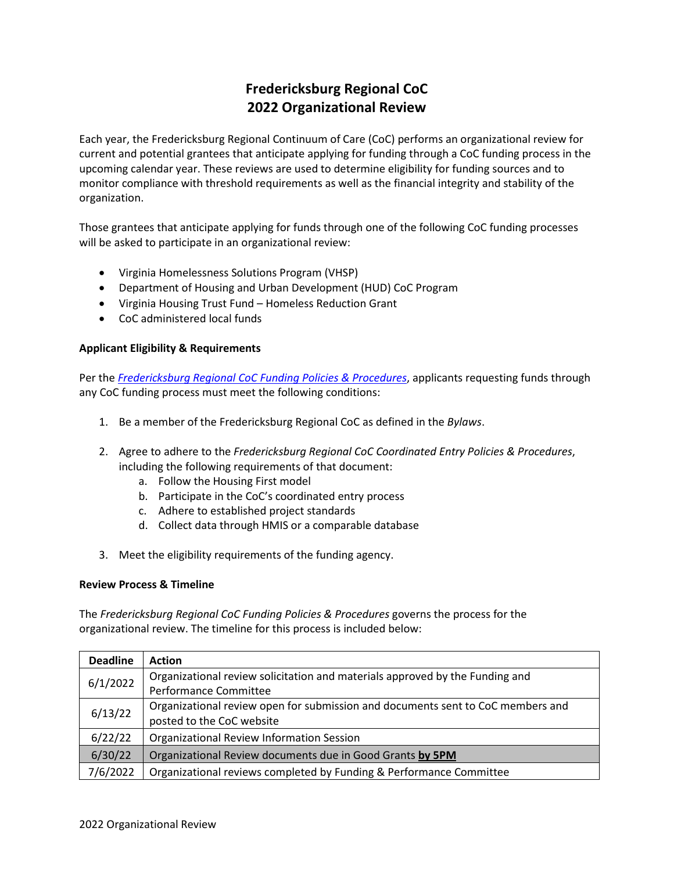# **Fredericksburg Regional CoC 2022 Organizational Review**

Each year, the Fredericksburg Regional Continuum of Care (CoC) performs an organizational review for current and potential grantees that anticipate applying for funding through a CoC funding process in the upcoming calendar year. These reviews are used to determine eligibility for funding sources and to monitor compliance with threshold requirements as well as the financial integrity and stability of the organization.

Those grantees that anticipate applying for funds through one of the following CoC funding processes will be asked to participate in an organizational review:

- Virginia Homelessness Solutions Program (VHSP)
- Department of Housing and Urban Development (HUD) CoC Program
- Virginia Housing Trust Fund Homeless Reduction Grant
- CoC administered local funds

# **Applicant Eligibility & Requirements**

Per the *[Fredericksburg Regional CoC Funding Policies & Procedures](https://www.fredericksburgcoc.org/wp-content/uploads/2020/02/FRCoC-Funding-Policies-Procedures-FINAL-200206.pdf)*, applicants requesting funds through any CoC funding process must meet the following conditions:

- 1. Be a member of the Fredericksburg Regional CoC as defined in the *Bylaws*.
- 2. Agree to adhere to the *Fredericksburg Regional CoC Coordinated Entry Policies & Procedures*, including the following requirements of that document:
	- a. Follow the Housing First model
	- b. Participate in the CoC's coordinated entry process
	- c. Adhere to established project standards
	- d. Collect data through HMIS or a comparable database
- 3. Meet the eligibility requirements of the funding agency.

## **Review Process & Timeline**

The *Fredericksburg Regional CoC Funding Policies & Procedures* governs the process for the organizational review. The timeline for this process is included below:

| <b>Deadline</b> | <b>Action</b>                                                                   |
|-----------------|---------------------------------------------------------------------------------|
| 6/1/2022        | Organizational review solicitation and materials approved by the Funding and    |
|                 | Performance Committee                                                           |
| 6/13/22         | Organizational review open for submission and documents sent to CoC members and |
|                 | posted to the CoC website                                                       |
| 6/22/22         | Organizational Review Information Session                                       |
| 6/30/22         | Organizational Review documents due in Good Grants by 5PM                       |
| 7/6/2022        | Organizational reviews completed by Funding & Performance Committee             |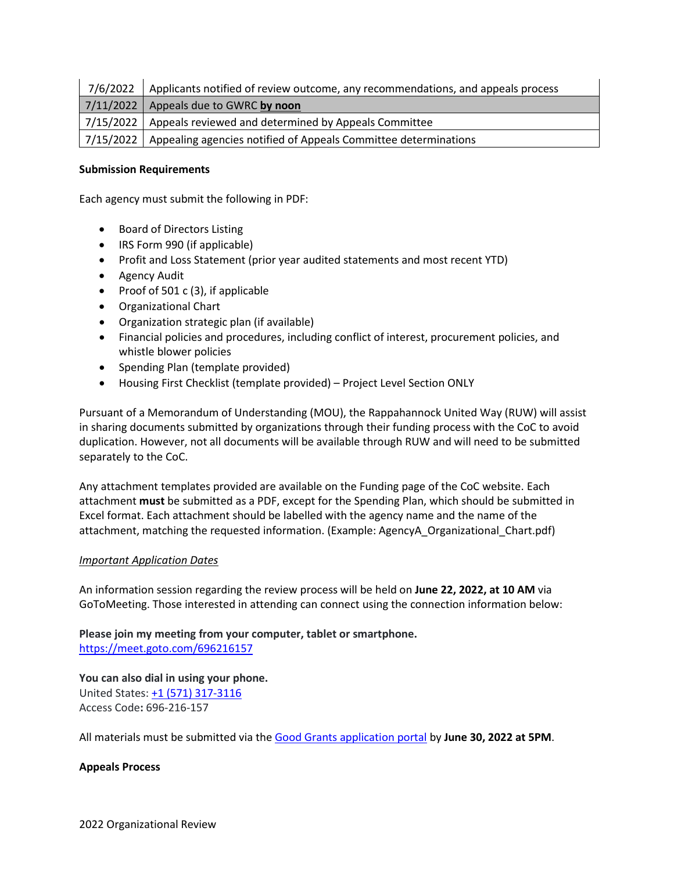| 7/6/2022 Applicants notified of review outcome, any recommendations, and appeals process |
|------------------------------------------------------------------------------------------|
| $7/11/2022$ Appeals due to GWRC by noon                                                  |
| 7/15/2022   Appeals reviewed and determined by Appeals Committee                         |
| 7/15/2022 Appealing agencies notified of Appeals Committee determinations                |

# **Submission Requirements**

Each agency must submit the following in PDF:

- Board of Directors Listing
- IRS Form 990 (if applicable)
- Profit and Loss Statement (prior year audited statements and most recent YTD)
- Agency Audit
- Proof of 501 c (3), if applicable
- Organizational Chart
- Organization strategic plan (if available)
- Financial policies and procedures, including conflict of interest, procurement policies, and whistle blower policies
- Spending Plan (template provided)
- Housing First Checklist (template provided) Project Level Section ONLY

Pursuant of a Memorandum of Understanding (MOU), the Rappahannock United Way (RUW) will assist in sharing documents submitted by organizations through their funding process with the CoC to avoid duplication. However, not all documents will be available through RUW and will need to be submitted separately to the CoC.

Any attachment templates provided are available on the Funding page of the CoC website. Each attachment **must** be submitted as a PDF, except for the Spending Plan, which should be submitted in Excel format. Each attachment should be labelled with the agency name and the name of the attachment, matching the requested information. (Example: AgencyA\_Organizational\_Chart.pdf)

## *Important Application Dates*

An information session regarding the review process will be held on **June 22, 2022, at 10 AM** via GoToMeeting. Those interested in attending can connect using the connection information below:

**Please join my meeting from your computer, tablet or smartphone.** <https://meet.goto.com/696216157>

**You can also dial in using your phone.**

United States: [+1 \(571\) 317-3116](tel:+15713173129,,696216157) Access Code**:** 696-216-157

All materials must be submitted via the [Good Grants application portal](https://gwregion.sharepoint.com/sites/CoCStaff/Shared%20Documents/FRCoC/Funding/Organizational%20Reviews/2022/Review%20Announcement/gwregion.grantplatform.com) by **June 30, 2022 at 5PM**.

## **Appeals Process**